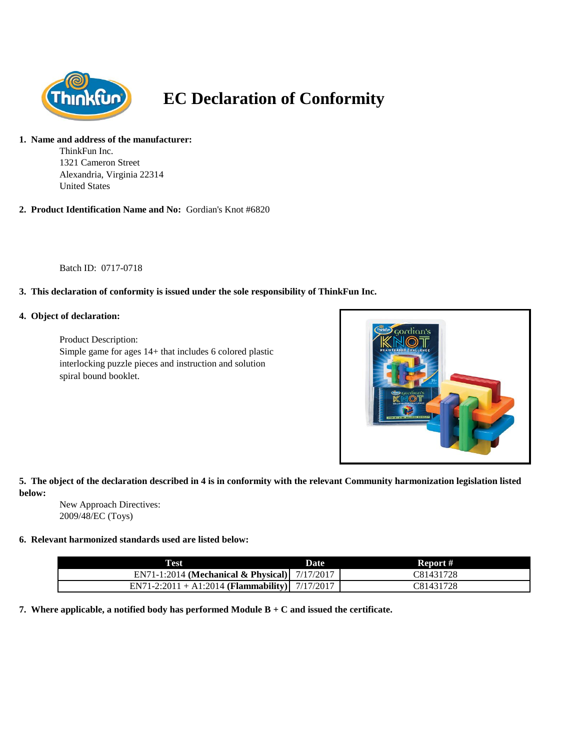

# **EC Declaration of Conformity**

### **1. Name and address of the manufacturer:**

ThinkFun Inc. 1321 Cameron Street Alexandria, Virginia 22314 United States

**2. Product Identification Name and No:** Gordian's Knot #6820

Batch ID: 0717-0718

## **3. This declaration of conformity is issued under the sole responsibility of ThinkFun Inc.**

#### **4. Object of declaration:**

Product Description: Simple game for ages 14+ that includes 6 colored plastic interlocking puzzle pieces and instruction and solution spiral bound booklet.



## **5. The object of the declaration described in 4 is in conformity with the relevant Community harmonization legislation listed below:**

New Approach Directives: 2009/48/EC (Toys)

#### **6. Relevant harmonized standards used are listed below:**

| <b>Test</b>                                     | Date | Report #  |
|-------------------------------------------------|------|-----------|
| EN71-1:2014 (Mechanical & Physical) $7/17/2017$ |      | C81431728 |
| EN71-2:2011 + A1:2014 (Flammability) 7/17/2017  |      | C81431728 |

**7. Where applicable, a notified body has performed Module B + C and issued the certificate.**